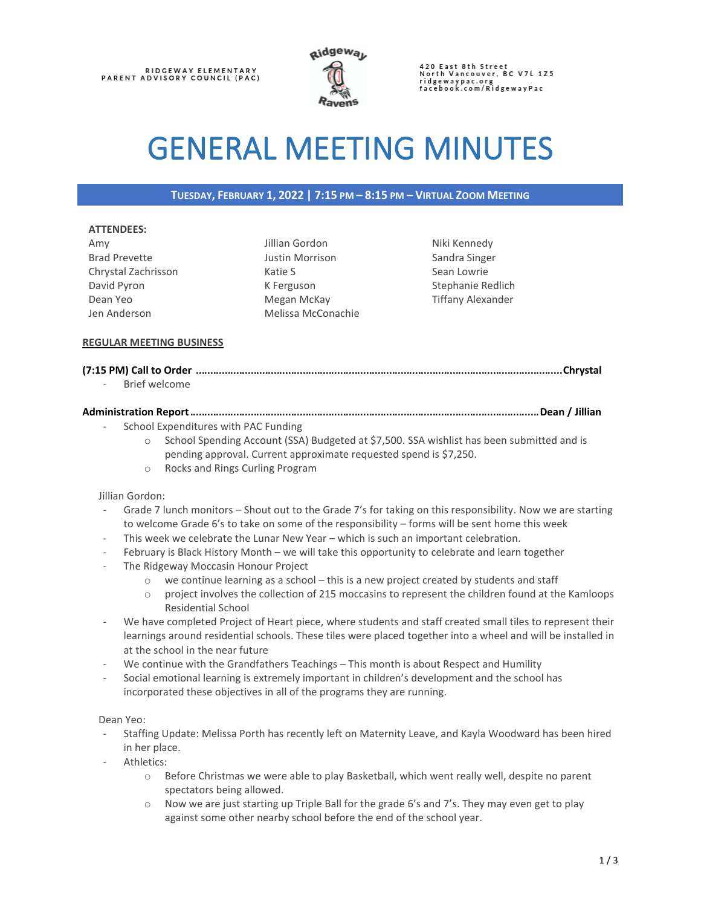

420 East 8th Street<br>North Vancouver, BC V7L 1Z5 ridgewaypac.org<br>facebook.com/RidgewayPac

# GENERAL MEETING MINUTES

## **TUESDAY, FEBRUARY 1, 2022 | 7:15 PM – 8:15 PM – VIRTUAL ZOOM MEETING**

#### **ATTENDEES:**

Amy Brad Prevette Chrystal Zachrisson David Pyron Dean Yeo Jen Anderson

Jillian Gordon Justin Morrison Katie S K Ferguson Megan McKay Melissa McConachie Niki Kennedy Sandra Singer Sean Lowrie Stephanie Redlich Tiffany Alexander

## **REGULAR MEETING BUSINESS**

# **(7:15 PM) Call to Order** ...............................................................................................................................**Chrystal**

Brief welcome

## **Administration Report**.........................................................................................................................**Dean / Jillian**

- School Expenditures with PAC Funding
	- o School Spending Account (SSA) Budgeted at \$7,500. SSA wishlist has been submitted and is pending approval. Current approximate requested spend is \$7,250.
	- o Rocks and Rings Curling Program

#### Jillian Gordon:

- Grade 7 lunch monitors Shout out to the Grade 7's for taking on this responsibility. Now we are starting to welcome Grade 6's to take on some of the responsibility – forms will be sent home this week
- This week we celebrate the Lunar New Year which is such an important celebration.
- February is Black History Month we will take this opportunity to celebrate and learn together
- The Ridgeway Moccasin Honour Project
	- $\circ$  we continue learning as a school this is a new project created by students and staff
	- o project involves the collection of 215 moccasins to represent the children found at the Kamloops Residential School
- We have completed Project of Heart piece, where students and staff created small tiles to represent their learnings around residential schools. These tiles were placed together into a wheel and will be installed in at the school in the near future
- We continue with the Grandfathers Teachings This month is about Respect and Humility
- Social emotional learning is extremely important in children's development and the school has incorporated these objectives in all of the programs they are running.

#### Dean Yeo:

- Staffing Update: Melissa Porth has recently left on Maternity Leave, and Kayla Woodward has been hired in her place.
- Athletics:
	- o Before Christmas we were able to play Basketball, which went really well, despite no parent spectators being allowed.
	- $\circ$  Now we are just starting up Triple Ball for the grade 6's and 7's. They may even get to play against some other nearby school before the end of the school year.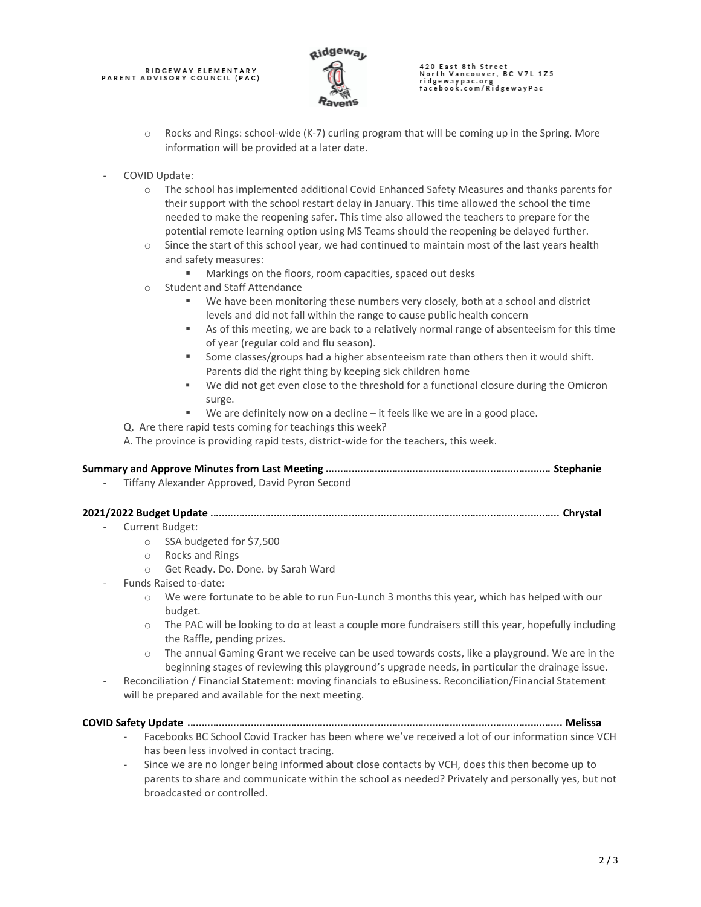# RIDGEWAY ELEMENTARY<br>PARENT ADVISORY COUNCIL (PAC)



# 420 East 8th Street<br>North Vancouver, BC V7L 1Z5 ridgewaypac.org<br>facebook.com/RidgewayPac

- o Rocks and Rings: school-wide (K-7) curling program that will be coming up in the Spring. More information will be provided at a later date.
- COVID Update:
	- o The school has implemented additional Covid Enhanced Safety Measures and thanks parents for their support with the school restart delay in January. This time allowed the school the time needed to make the reopening safer. This time also allowed the teachers to prepare for the potential remote learning option using MS Teams should the reopening be delayed further.
	- o Since the start of this school year, we had continued to maintain most of the last years health and safety measures:
		- Markings on the floors, room capacities, spaced out desks
	- o Student and Staff Attendance
		- We have been monitoring these numbers very closely, both at a school and district levels and did not fall within the range to cause public health concern
		- As of this meeting, we are back to a relatively normal range of absenteeism for this time of year (regular cold and flu season).
		- Some classes/groups had a higher absenteeism rate than others then it would shift. Parents did the right thing by keeping sick children home
		- We did not get even close to the threshold for a functional closure during the Omicron surge.
		- We are definitely now on a decline  $-$  it feels like we are in a good place.
	- Q. Are there rapid tests coming for teachings this week?
	- A. The province is providing rapid tests, district-wide for the teachers, this week.

## **Summary and Approve Minutes from Last Meeting** .............................................................................. **Stephanie**

Tiffany Alexander Approved, David Pyron Second

## **2021/2022 Budget Update** ......................................................................................................................... **Chrystal**

- Current Budget:
	- o SSA budgeted for \$7,500
	- o Rocks and Rings
	- o Get Ready. Do. Done. by Sarah Ward
- Funds Raised to-date:
	- o We were fortunate to be able to run Fun-Lunch 3 months this year, which has helped with our budget.
	- o The PAC will be looking to do at least a couple more fundraisers still this year, hopefully including the Raffle, pending prizes.
	- $\circ$  The annual Gaming Grant we receive can be used towards costs, like a playground. We are in the beginning stages of reviewing this playground's upgrade needs, in particular the drainage issue.
- Reconciliation / Financial Statement: moving financials to eBusiness. Reconciliation/Financial Statement will be prepared and available for the next meeting.

#### **COVID Safety Update** .................................................................................................................................. **Melissa**

- Facebooks BC School Covid Tracker has been where we've received a lot of our information since VCH has been less involved in contact tracing.
- Since we are no longer being informed about close contacts by VCH, does this then become up to parents to share and communicate within the school as needed? Privately and personally yes, but not broadcasted or controlled.